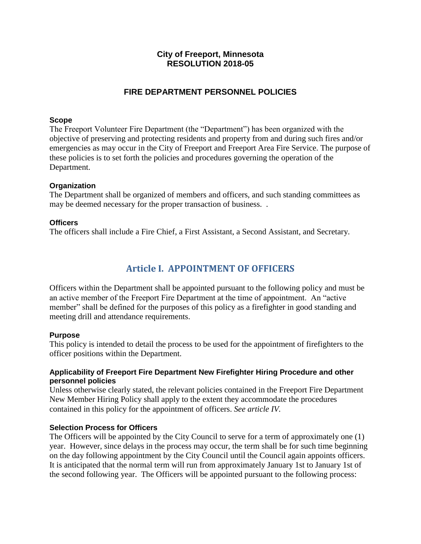# **City of Freeport, Minnesota RESOLUTION 2018-05**

# **FIRE DEPARTMENT PERSONNEL POLICIES**

#### **Scope**

The Freeport Volunteer Fire Department (the "Department") has been organized with the objective of preserving and protecting residents and property from and during such fires and/or emergencies as may occur in the City of Freeport and Freeport Area Fire Service. The purpose of these policies is to set forth the policies and procedures governing the operation of the Department.

#### **Organization**

The Department shall be organized of members and officers, and such standing committees as may be deemed necessary for the proper transaction of business. .

#### **Officers**

The officers shall include a Fire Chief, a First Assistant, a Second Assistant, and Secretary.

# **Article I. APPOINTMENT OF OFFICERS**

Officers within the Department shall be appointed pursuant to the following policy and must be an active member of the Freeport Fire Department at the time of appointment. An "active member" shall be defined for the purposes of this policy as a firefighter in good standing and meeting drill and attendance requirements.

#### **Purpose**

This policy is intended to detail the process to be used for the appointment of firefighters to the officer positions within the Department.

#### **Applicability of Freeport Fire Department New Firefighter Hiring Procedure and other personnel policies**

Unless otherwise clearly stated, the relevant policies contained in the Freeport Fire Department New Member Hiring Policy shall apply to the extent they accommodate the procedures contained in this policy for the appointment of officers. *See article IV.*

#### **Selection Process for Officers**

The Officers will be appointed by the City Council to serve for a term of approximately one (1) year. However, since delays in the process may occur, the term shall be for such time beginning on the day following appointment by the City Council until the Council again appoints officers. It is anticipated that the normal term will run from approximately January 1st to January 1st of the second following year. The Officers will be appointed pursuant to the following process: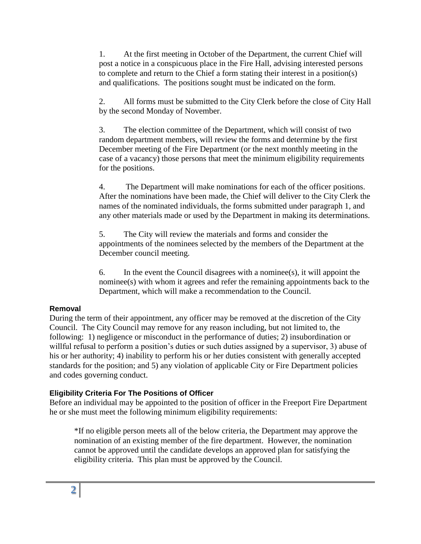1. At the first meeting in October of the Department, the current Chief will post a notice in a conspicuous place in the Fire Hall, advising interested persons to complete and return to the Chief a form stating their interest in a position(s) and qualifications. The positions sought must be indicated on the form.

2. All forms must be submitted to the City Clerk before the close of City Hall by the second Monday of November.

3. The election committee of the Department, which will consist of two random department members, will review the forms and determine by the first December meeting of the Fire Department (or the next monthly meeting in the case of a vacancy) those persons that meet the minimum eligibility requirements for the positions.

4. The Department will make nominations for each of the officer positions. After the nominations have been made, the Chief will deliver to the City Clerk the names of the nominated individuals, the forms submitted under paragraph 1, and any other materials made or used by the Department in making its determinations.

5. The City will review the materials and forms and consider the appointments of the nominees selected by the members of the Department at the December council meeting.

6. In the event the Council disagrees with a nominee(s), it will appoint the nominee(s) with whom it agrees and refer the remaining appointments back to the Department, which will make a recommendation to the Council.

# **Removal**

During the term of their appointment, any officer may be removed at the discretion of the City Council. The City Council may remove for any reason including, but not limited to, the following: 1) negligence or misconduct in the performance of duties; 2) insubordination or willful refusal to perform a position's duties or such duties assigned by a supervisor, 3) abuse of his or her authority; 4) inability to perform his or her duties consistent with generally accepted standards for the position; and 5) any violation of applicable City or Fire Department policies and codes governing conduct.

# **Eligibility Criteria For The Positions of Officer**

Before an individual may be appointed to the position of officer in the Freeport Fire Department he or she must meet the following minimum eligibility requirements:

\*If no eligible person meets all of the below criteria, the Department may approve the nomination of an existing member of the fire department. However, the nomination cannot be approved until the candidate develops an approved plan for satisfying the eligibility criteria. This plan must be approved by the Council.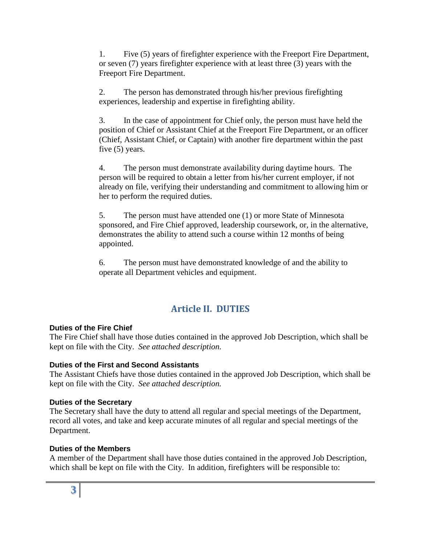1. Five (5) years of firefighter experience with the Freeport Fire Department, or seven (7) years firefighter experience with at least three (3) years with the Freeport Fire Department.

2. The person has demonstrated through his/her previous firefighting experiences, leadership and expertise in firefighting ability.

3. In the case of appointment for Chief only, the person must have held the position of Chief or Assistant Chief at the Freeport Fire Department, or an officer (Chief, Assistant Chief, or Captain) with another fire department within the past five (5) years.

4. The person must demonstrate availability during daytime hours. The person will be required to obtain a letter from his/her current employer, if not already on file, verifying their understanding and commitment to allowing him or her to perform the required duties.

5. The person must have attended one (1) or more State of Minnesota sponsored, and Fire Chief approved, leadership coursework, or, in the alternative, demonstrates the ability to attend such a course within 12 months of being appointed.

6. The person must have demonstrated knowledge of and the ability to operate all Department vehicles and equipment.

# **Article II. DUTIES**

# **Duties of the Fire Chief**

The Fire Chief shall have those duties contained in the approved Job Description, which shall be kept on file with the City. *See attached description.*

# **Duties of the First and Second Assistants**

The Assistant Chiefs have those duties contained in the approved Job Description, which shall be kept on file with the City. *See attached description.*

# **Duties of the Secretary**

The Secretary shall have the duty to attend all regular and special meetings of the Department, record all votes, and take and keep accurate minutes of all regular and special meetings of the Department.

# **Duties of the Members**

A member of the Department shall have those duties contained in the approved Job Description, which shall be kept on file with the City. In addition, firefighters will be responsible to: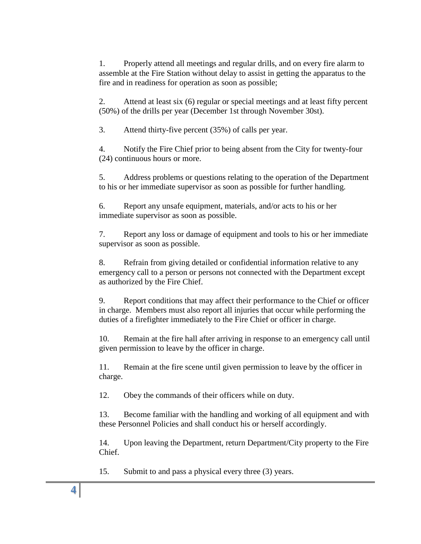1. Properly attend all meetings and regular drills, and on every fire alarm to assemble at the Fire Station without delay to assist in getting the apparatus to the fire and in readiness for operation as soon as possible;

2. Attend at least six (6) regular or special meetings and at least fifty percent (50%) of the drills per year (December 1st through November 30st).

3. Attend thirty-five percent (35%) of calls per year.

4. Notify the Fire Chief prior to being absent from the City for twenty-four (24) continuous hours or more.

5. Address problems or questions relating to the operation of the Department to his or her immediate supervisor as soon as possible for further handling.

6. Report any unsafe equipment, materials, and/or acts to his or her immediate supervisor as soon as possible.

7. Report any loss or damage of equipment and tools to his or her immediate supervisor as soon as possible.

8. Refrain from giving detailed or confidential information relative to any emergency call to a person or persons not connected with the Department except as authorized by the Fire Chief.

9. Report conditions that may affect their performance to the Chief or officer in charge. Members must also report all injuries that occur while performing the duties of a firefighter immediately to the Fire Chief or officer in charge.

10. Remain at the fire hall after arriving in response to an emergency call until given permission to leave by the officer in charge.

11. Remain at the fire scene until given permission to leave by the officer in charge.

12. Obey the commands of their officers while on duty.

13. Become familiar with the handling and working of all equipment and with these Personnel Policies and shall conduct his or herself accordingly.

14. Upon leaving the Department, return Department/City property to the Fire Chief.

15. Submit to and pass a physical every three (3) years.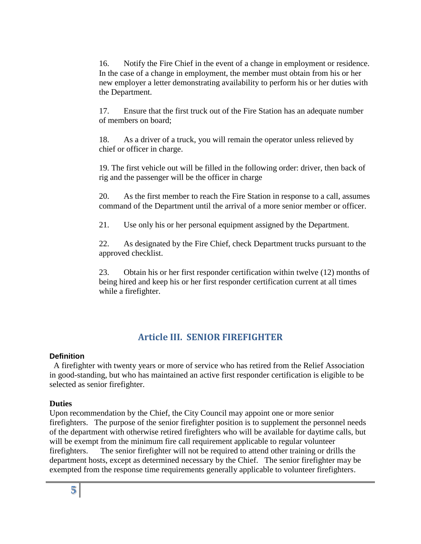16. Notify the Fire Chief in the event of a change in employment or residence. In the case of a change in employment, the member must obtain from his or her new employer a letter demonstrating availability to perform his or her duties with the Department.

17. Ensure that the first truck out of the Fire Station has an adequate number of members on board;

18. As a driver of a truck, you will remain the operator unless relieved by chief or officer in charge.

19. The first vehicle out will be filled in the following order: driver, then back of rig and the passenger will be the officer in charge

20. As the first member to reach the Fire Station in response to a call, assumes command of the Department until the arrival of a more senior member or officer.

21. Use only his or her personal equipment assigned by the Department.

22. As designated by the Fire Chief, check Department trucks pursuant to the approved checklist.

23. Obtain his or her first responder certification within twelve (12) months of being hired and keep his or her first responder certification current at all times while a firefighter.

# **Article III. SENIOR FIREFIGHTER**

# **Definition**

A firefighter with twenty years or more of service who has retired from the Relief Association in good-standing, but who has maintained an active first responder certification is eligible to be selected as senior firefighter.

# **Duties**

Upon recommendation by the Chief, the City Council may appoint one or more senior firefighters. The purpose of the senior firefighter position is to supplement the personnel needs of the department with otherwise retired firefighters who will be available for daytime calls, but will be exempt from the minimum fire call requirement applicable to regular volunteer firefighters. The senior firefighter will not be required to attend other training or drills the department hosts, except as determined necessary by the Chief. The senior firefighter may be exempted from the response time requirements generally applicable to volunteer firefighters.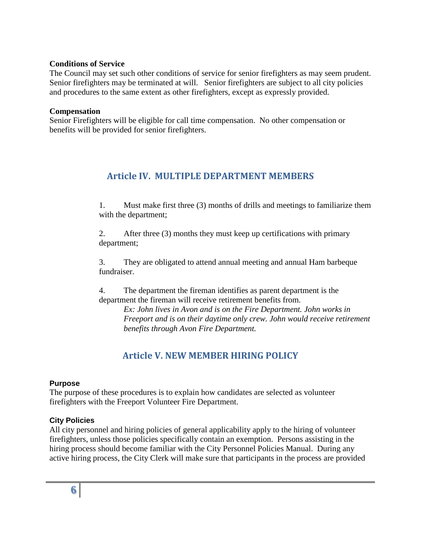#### **Conditions of Service**

The Council may set such other conditions of service for senior firefighters as may seem prudent. Senior firefighters may be terminated at will. Senior firefighters are subject to all city policies and procedures to the same extent as other firefighters, except as expressly provided.

#### **Compensation**

Senior Firefighters will be eligible for call time compensation. No other compensation or benefits will be provided for senior firefighters.

# **Article IV. MULTIPLE DEPARTMENT MEMBERS**

1. Must make first three (3) months of drills and meetings to familiarize them with the department;

2. After three (3) months they must keep up certifications with primary department;

3. They are obligated to attend annual meeting and annual Ham barbeque fundraiser.

4. The department the fireman identifies as parent department is the department the fireman will receive retirement benefits from.

*Ex: John lives in Avon and is on the Fire Department. John works in Freeport and is on their daytime only crew. John would receive retirement benefits through Avon Fire Department.* 

# **Article V. NEW MEMBER HIRING POLICY**

# **Purpose**

The purpose of these procedures is to explain how candidates are selected as volunteer firefighters with the Freeport Volunteer Fire Department.

# **City Policies**

All city personnel and hiring policies of general applicability apply to the hiring of volunteer firefighters, unless those policies specifically contain an exemption. Persons assisting in the hiring process should become familiar with the City Personnel Policies Manual. During any active hiring process, the City Clerk will make sure that participants in the process are provided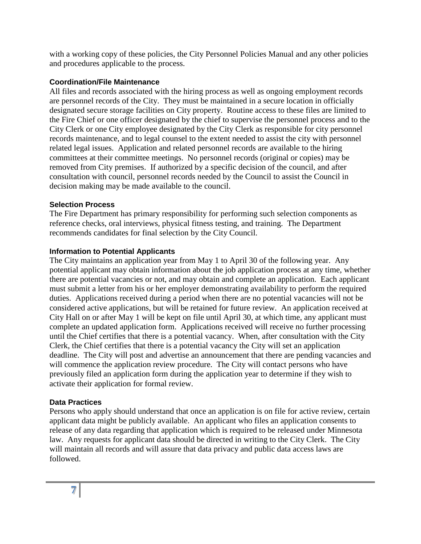with a working copy of these policies, the City Personnel Policies Manual and any other policies and procedures applicable to the process.

#### **Coordination/File Maintenance**

All files and records associated with the hiring process as well as ongoing employment records are personnel records of the City. They must be maintained in a secure location in officially designated secure storage facilities on City property. Routine access to these files are limited to the Fire Chief or one officer designated by the chief to supervise the personnel process and to the City Clerk or one City employee designated by the City Clerk as responsible for city personnel records maintenance, and to legal counsel to the extent needed to assist the city with personnel related legal issues. Application and related personnel records are available to the hiring committees at their committee meetings. No personnel records (original or copies) may be removed from City premises. If authorized by a specific decision of the council, and after consultation with council, personnel records needed by the Council to assist the Council in decision making may be made available to the council.

#### **Selection Process**

The Fire Department has primary responsibility for performing such selection components as reference checks, oral interviews, physical fitness testing, and training. The Department recommends candidates for final selection by the City Council.

#### **Information to Potential Applicants**

The City maintains an application year from May 1 to April 30 of the following year. Any potential applicant may obtain information about the job application process at any time, whether there are potential vacancies or not, and may obtain and complete an application. Each applicant must submit a letter from his or her employer demonstrating availability to perform the required duties. Applications received during a period when there are no potential vacancies will not be considered active applications, but will be retained for future review. An application received at City Hall on or after May 1 will be kept on file until April 30, at which time, any applicant must complete an updated application form. Applications received will receive no further processing until the Chief certifies that there is a potential vacancy. When, after consultation with the City Clerk, the Chief certifies that there is a potential vacancy the City will set an application deadline. The City will post and advertise an announcement that there are pending vacancies and will commence the application review procedure. The City will contact persons who have previously filed an application form during the application year to determine if they wish to activate their application for formal review.

# **Data Practices**

Persons who apply should understand that once an application is on file for active review, certain applicant data might be publicly available. An applicant who files an application consents to release of any data regarding that application which is required to be released under Minnesota law. Any requests for applicant data should be directed in writing to the City Clerk. The City will maintain all records and will assure that data privacy and public data access laws are followed.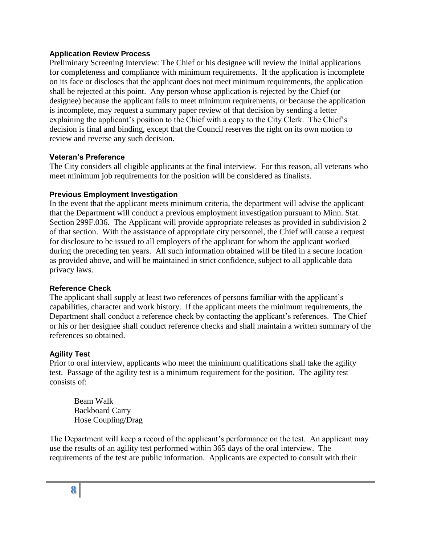#### **Application Review Process**

Preliminary Screening Interview: The Chief or his designee will review the initial applications for completeness and compliance with minimum requirements. If the application is incomplete on its face or discloses that the applicant does not meet minimum requirements, the application shall be rejected at this point. Any person whose application is rejected by the Chief (or designee) because the applicant fails to meet minimum requirements, or because the application is incomplete, may request a summary paper review of that decision by sending a letter explaining the applicant's position to the Chief with a copy to the City Clerk. The Chief's decision is final and binding, except that the Council reserves the right on its own motion to review and reverse any such decision.

#### **Veteran's Preference**

The City considers all eligible applicants at the final interview. For this reason, all veterans who meet minimum job requirements for the position will be considered as finalists.

#### **Previous Employment Investigation**

In the event that the applicant meets minimum criteria, the department will advise the applicant that the Department will conduct a previous employment investigation pursuant to Minn. Stat. Section 299F.036. The Applicant will provide appropriate releases as provided in subdivision 2 of that section. With the assistance of appropriate city personnel, the Chief will cause a request for disclosure to be issued to all employers of the applicant for whom the applicant worked during the preceding ten years. All such information obtained will be filed in a secure location as provided above, and will be maintained in strict confidence, subject to all applicable data privacy laws.

# **Reference Check**

The applicant shall supply at least two references of persons familiar with the applicant's capabilities, character and work history. If the applicant meets the minimum requirements, the Department shall conduct a reference check by contacting the applicant's references. The Chief or his or her designee shall conduct reference checks and shall maintain a written summary of the references so obtained.

# **Agility Test**

Prior to oral interview, applicants who meet the minimum qualifications shall take the agility test. Passage of the agility test is a minimum requirement for the position. The agility test consists of:

Beam Walk Backboard Carry Hose Coupling/Drag

The Department will keep a record of the applicant's performance on the test. An applicant may use the results of an agility test performed within 365 days of the oral interview. The requirements of the test are public information. Applicants are expected to consult with their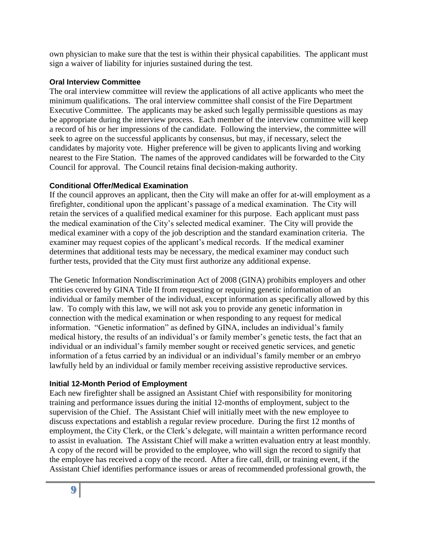own physician to make sure that the test is within their physical capabilities. The applicant must sign a waiver of liability for injuries sustained during the test.

#### **Oral Interview Committee**

The oral interview committee will review the applications of all active applicants who meet the minimum qualifications. The oral interview committee shall consist of the Fire Department Executive Committee. The applicants may be asked such legally permissible questions as may be appropriate during the interview process. Each member of the interview committee will keep a record of his or her impressions of the candidate. Following the interview, the committee will seek to agree on the successful applicants by consensus, but may, if necessary, select the candidates by majority vote. Higher preference will be given to applicants living and working nearest to the Fire Station. The names of the approved candidates will be forwarded to the City Council for approval. The Council retains final decision-making authority.

# **Conditional Offer/Medical Examination**

If the council approves an applicant, then the City will make an offer for at-will employment as a firefighter, conditional upon the applicant's passage of a medical examination. The City will retain the services of a qualified medical examiner for this purpose. Each applicant must pass the medical examination of the City's selected medical examiner. The City will provide the medical examiner with a copy of the job description and the standard examination criteria. The examiner may request copies of the applicant's medical records. If the medical examiner determines that additional tests may be necessary, the medical examiner may conduct such further tests, provided that the City must first authorize any additional expense.

The Genetic Information Nondiscrimination Act of 2008 (GINA) prohibits employers and other entities covered by GINA Title II from requesting or requiring genetic information of an individual or family member of the individual, except information as specifically allowed by this law. To comply with this law, we will not ask you to provide any genetic information in connection with the medical examination or when responding to any request for medical information. "Genetic information" as defined by GINA, includes an individual's family medical history, the results of an individual's or family member's genetic tests, the fact that an individual or an individual's family member sought or received genetic services, and genetic information of a fetus carried by an individual or an individual's family member or an embryo lawfully held by an individual or family member receiving assistive reproductive services.

# **Initial 12-Month Period of Employment**

Each new firefighter shall be assigned an Assistant Chief with responsibility for monitoring training and performance issues during the initial 12-months of employment, subject to the supervision of the Chief. The Assistant Chief will initially meet with the new employee to discuss expectations and establish a regular review procedure. During the first 12 months of employment, the City Clerk, or the Clerk's delegate, will maintain a written performance record to assist in evaluation. The Assistant Chief will make a written evaluation entry at least monthly. A copy of the record will be provided to the employee, who will sign the record to signify that the employee has received a copy of the record. After a fire call, drill, or training event, if the Assistant Chief identifies performance issues or areas of recommended professional growth, the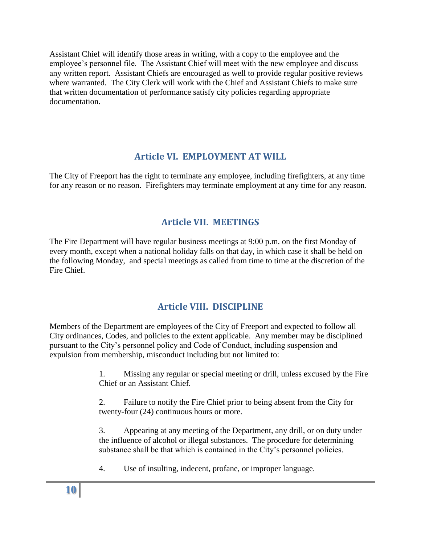Assistant Chief will identify those areas in writing, with a copy to the employee and the employee's personnel file. The Assistant Chief will meet with the new employee and discuss any written report. Assistant Chiefs are encouraged as well to provide regular positive reviews where warranted. The City Clerk will work with the Chief and Assistant Chiefs to make sure that written documentation of performance satisfy city policies regarding appropriate documentation.

# **Article VI. EMPLOYMENT AT WILL**

The City of Freeport has the right to terminate any employee, including firefighters, at any time for any reason or no reason. Firefighters may terminate employment at any time for any reason.

# **Article VII. MEETINGS**

The Fire Department will have regular business meetings at 9:00 p.m. on the first Monday of every month, except when a national holiday falls on that day, in which case it shall be held on the following Monday, and special meetings as called from time to time at the discretion of the Fire Chief.

# **Article VIII. DISCIPLINE**

Members of the Department are employees of the City of Freeport and expected to follow all City ordinances, Codes, and policies to the extent applicable. Any member may be disciplined pursuant to the City's personnel policy and Code of Conduct, including suspension and expulsion from membership, misconduct including but not limited to:

> 1. Missing any regular or special meeting or drill, unless excused by the Fire Chief or an Assistant Chief.

2. Failure to notify the Fire Chief prior to being absent from the City for twenty-four (24) continuous hours or more.

3. Appearing at any meeting of the Department, any drill, or on duty under the influence of alcohol or illegal substances. The procedure for determining substance shall be that which is contained in the City's personnel policies.

4. Use of insulting, indecent, profane, or improper language.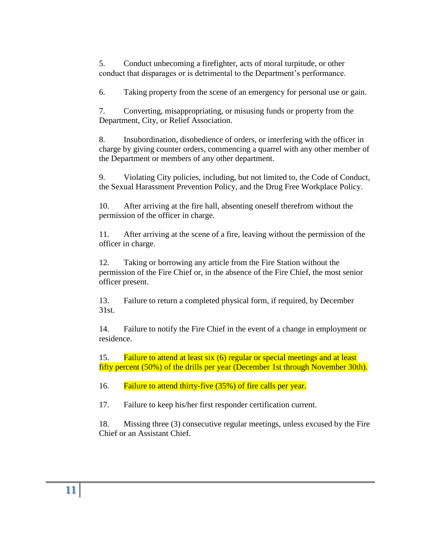5. Conduct unbecoming a firefighter, acts of moral turpitude, or other conduct that disparages or is detrimental to the Department's performance.

6. Taking property from the scene of an emergency for personal use or gain.

7. Converting, misappropriating, or misusing funds or property from the Department, City, or Relief Association.

8. Insubordination, disobedience of orders, or interfering with the officer in charge by giving counter orders, commencing a quarrel with any other member of the Department or members of any other department.

9. Violating City policies, including, but not limited to, the Code of Conduct, the Sexual Harassment Prevention Policy, and the Drug Free Workplace Policy.

10. After arriving at the fire hall, absenting oneself therefrom without the permission of the officer in charge.

11. After arriving at the scene of a fire, leaving without the permission of the officer in charge.

12. Taking or borrowing any article from the Fire Station without the permission of the Fire Chief or, in the absence of the Fire Chief, the most senior officer present.

13. Failure to return a completed physical form, if required, by December 31st.

14. Failure to notify the Fire Chief in the event of a change in employment or residence.

15. Failure to attend at least six (6) regular or special meetings and at least fifty percent (50%) of the drills per year (December 1st through November 30th).

16. Failure to attend thirty-five (35%) of fire calls per year.

17. Failure to keep his/her first responder certification current.

18. Missing three (3) consecutive regular meetings, unless excused by the Fire Chief or an Assistant Chief.